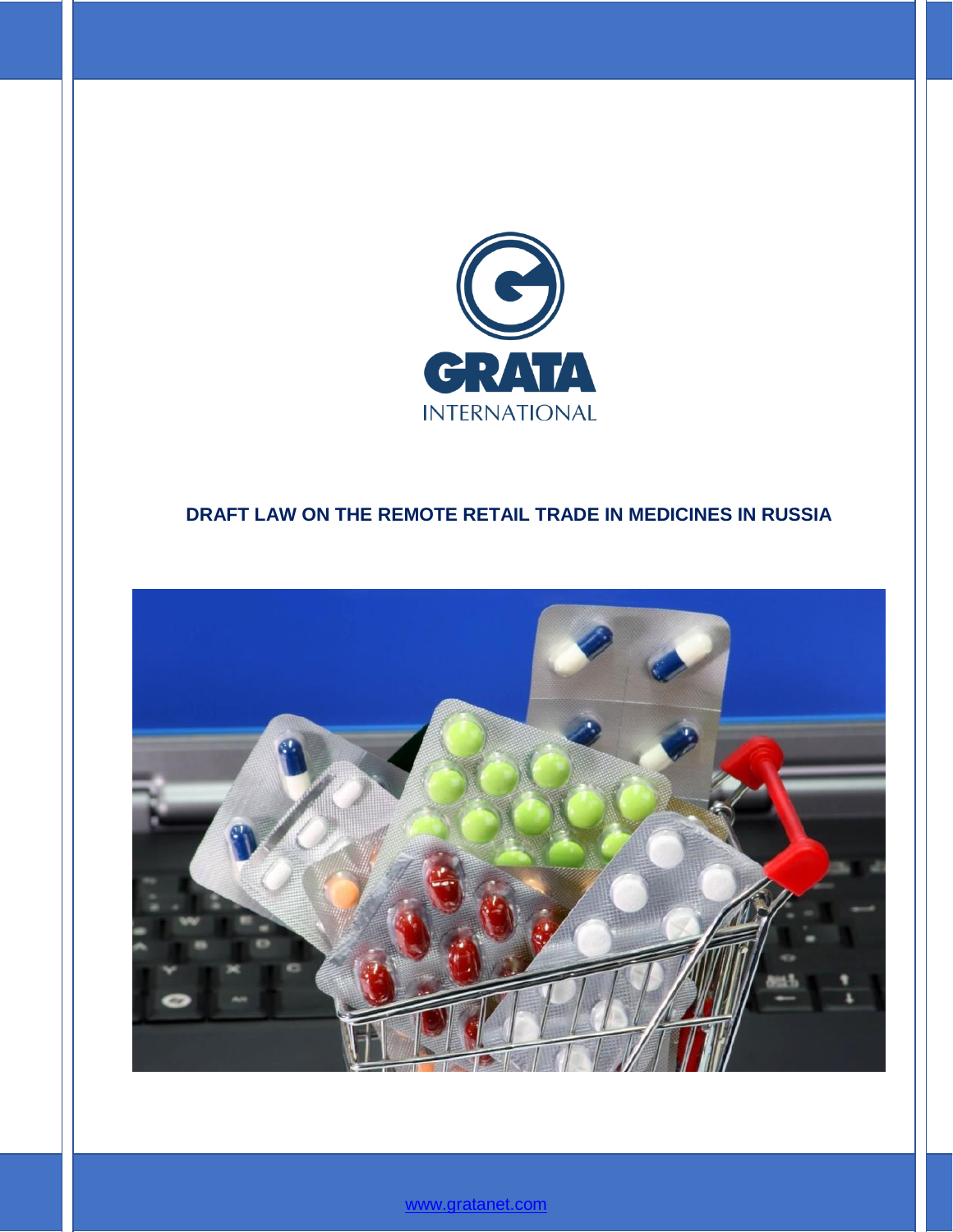

## **DRAFT LAW ON THE REMOTE RETAIL TRADE IN MEDICINES IN RUSSIA**



[www.gratanet.com](file:///C:/Users/ADukenbayeva/Desktop/Aliya/Yana%20Dianova/Massmedia%20regulation%2009.2017/www.gratanet.com)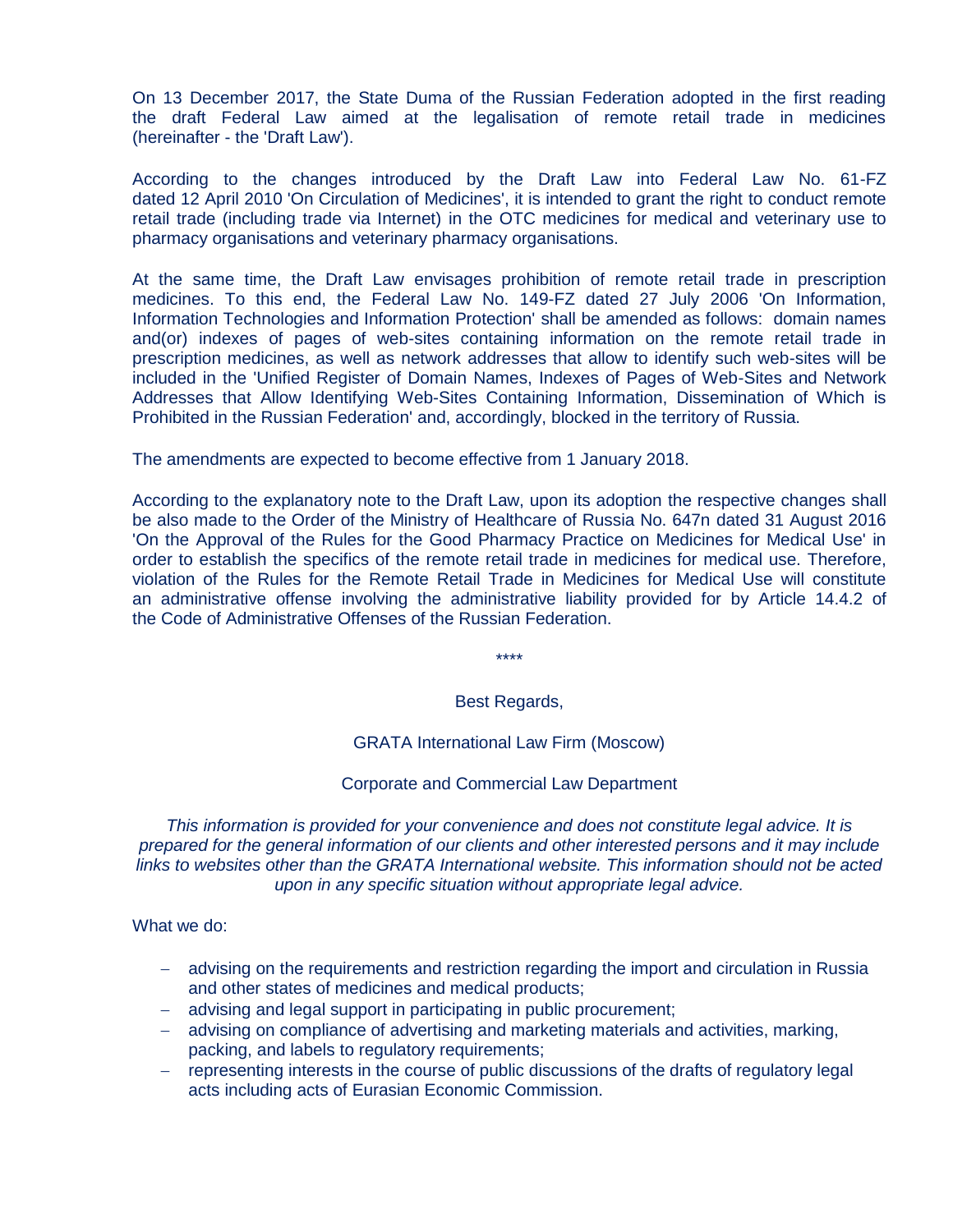On 13 December 2017, the State Duma of the Russian Federation adopted in the first reading the draft Federal Law aimed at the legalisation of remote retail trade in medicines (hereinafter - the 'Draft Law').

According to the changes introduced by the Draft Law into Federal Law No. 61-FZ dated 12 April 2010 'On Circulation of Medicines', it is intended to grant the right to conduct remote retail trade (including trade via Internet) in the OTC medicines for medical and veterinary use to pharmacy organisations and veterinary pharmacy organisations.

At the same time, the Draft Law envisages prohibition of remote retail trade in prescription medicines. To this end, the Federal Law No. 149-FZ dated 27 July 2006 'On Information, Information Technologies and Information Protection' shall be amended as follows: domain names and(or) indexes of pages of web-sites containing information on the remote retail trade in prescription medicines, as well as network addresses that allow to identify such web-sites will be included in the 'Unified Register of Domain Names, Indexes of Pages of Web-Sites and Network Addresses that Allow Identifying Web-Sites Containing Information, Dissemination of Which is Prohibited in the Russian Federation' and, accordingly, blocked in the territory of Russia.

The amendments are expected to become effective from 1 January 2018.

According to the explanatory note to the Draft Law, upon its adoption the respective changes shall be also made to the Order of the Ministry of Healthcare of Russia No. 647n dated 31 August 2016 'On the Approval of the Rules for the Good Pharmacy Practice on Medicines for Medical Use' in order to establish the specifics of the remote retail trade in medicines for medical use. Therefore, violation of the Rules for the Remote Retail Trade in Medicines for Medical Use will constitute an administrative offense involving the administrative liability provided for by Article 14.4.2 of the Code of Administrative Offenses of the Russian Federation.

\*\*\*\*

## Best Regards,

GRATA International Law Firm (Moscow)

Corporate and Commercial Law Department

*This information is provided for your convenience and does not constitute legal advice. It is prepared for the general information of our clients and other interested persons and it may include links to websites other than the GRATA International website. This information should not be acted upon in any specific situation without appropriate legal advice.*

What we do:

- advising on the requirements and restriction regarding the import and circulation in Russia and other states of medicines and medical products;
- advising and legal support in participating in public procurement;
- advising on compliance of advertising and marketing materials and activities, marking, packing, and labels to regulatory requirements;
- representing interests in the course of public discussions of the drafts of regulatory legal acts including acts of Eurasian Economic Commission.